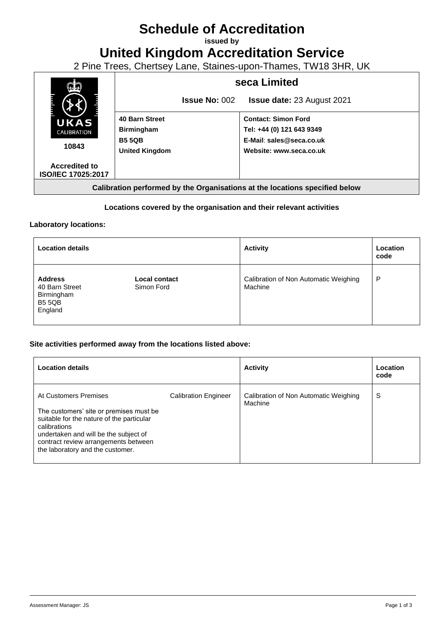# **Schedule of Accreditation**

**issued by**

**United Kingdom Accreditation Service**

2 Pine Trees, Chertsey Lane, Staines-upon-Thames, TW18 3HR, UK



# **Locations covered by the organisation and their relevant activities**

### **Laboratory locations:**

| <b>Location details</b>                                                    |                                    | <b>Activity</b>                                  | Location<br>code |
|----------------------------------------------------------------------------|------------------------------------|--------------------------------------------------|------------------|
| <b>Address</b><br>40 Barn Street<br>Birmingham<br><b>B5 5QB</b><br>England | <b>Local contact</b><br>Simon Ford | Calibration of Non Automatic Weighing<br>Machine | P                |

### **Site activities performed away from the locations listed above:**

| <b>Location details</b>                                                                                                                                                                                                                            |                             | <b>Activity</b>                                  | Location<br>code |
|----------------------------------------------------------------------------------------------------------------------------------------------------------------------------------------------------------------------------------------------------|-----------------------------|--------------------------------------------------|------------------|
| At Customers Premises<br>The customers' site or premises must be<br>suitable for the nature of the particular<br>calibrations<br>undertaken and will be the subject of<br>contract review arrangements between<br>the laboratory and the customer. | <b>Calibration Engineer</b> | Calibration of Non Automatic Weighing<br>Machine | S                |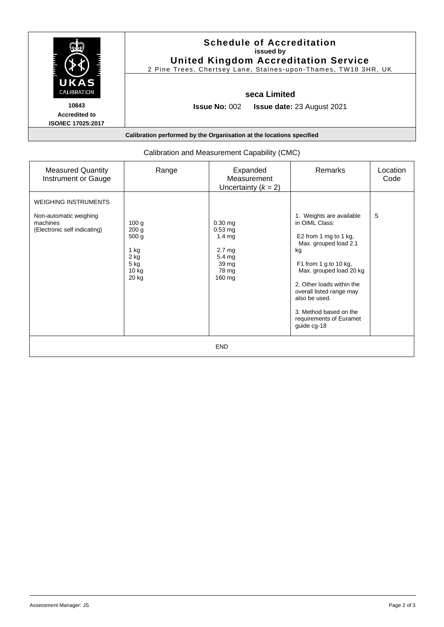|                                                     | <b>Schedule of Accreditation</b><br>issued by<br><b>United Kingdom Accreditation Service</b><br>2 Pine Trees, Chertsey Lane, Staines-upon-Thames, TW18 3HR, UK |
|-----------------------------------------------------|----------------------------------------------------------------------------------------------------------------------------------------------------------------|
| UKAS<br>CALIBRATION                                 | seca Limited                                                                                                                                                   |
| 10843<br><b>Accredited to</b><br>ISO/IEC 17025:2017 | <b>Issue No: <math>002</math></b><br><b>Issue date: 23 August 2021</b>                                                                                         |
|                                                     | Calibration performed by the Organisation at the locations specified                                                                                           |

| <b>Measured Quantity</b><br>Instrument or Gauge                                                   | Range                                                                                                | Expanded<br>Measurement<br>Uncertainty $(k = 2)$                                                                 | Remarks                                                                                                                                                                                                                                                                                              | Location<br>Code |
|---------------------------------------------------------------------------------------------------|------------------------------------------------------------------------------------------------------|------------------------------------------------------------------------------------------------------------------|------------------------------------------------------------------------------------------------------------------------------------------------------------------------------------------------------------------------------------------------------------------------------------------------------|------------------|
| <b>WEIGHING INSTRUMENTS</b><br>Non-automatic weighing<br>machines<br>(Electronic self indicating) | 100 g<br>200 <sub>g</sub><br>500 <sub>g</sub><br>1 kg<br>2 kg<br>5 <sub>kg</sub><br>$10$ kg<br>20 kg | $0.30$ mg<br>$0.53$ mg<br>$1.4 \text{ mg}$<br>2.7 <sub>mg</sub><br>5.4 <sub>mg</sub><br>39 mg<br>78 mg<br>160 mg | 1. Weights are available<br>in OIML Class:<br>E2 from 1 mg to 1 kg,<br>Max. grouped load 2.1<br>kg<br>F1 from 1 g to 10 kg,<br>Max. grouped load 20 kg<br>2. Other loads within the<br>overall listed range may<br>also be used.<br>3. Method based on the<br>requirements of Euramet<br>guide cg-18 | S                |
|                                                                                                   |                                                                                                      | <b>END</b>                                                                                                       |                                                                                                                                                                                                                                                                                                      |                  |

# Calibration and Measurement Capability (CMC)